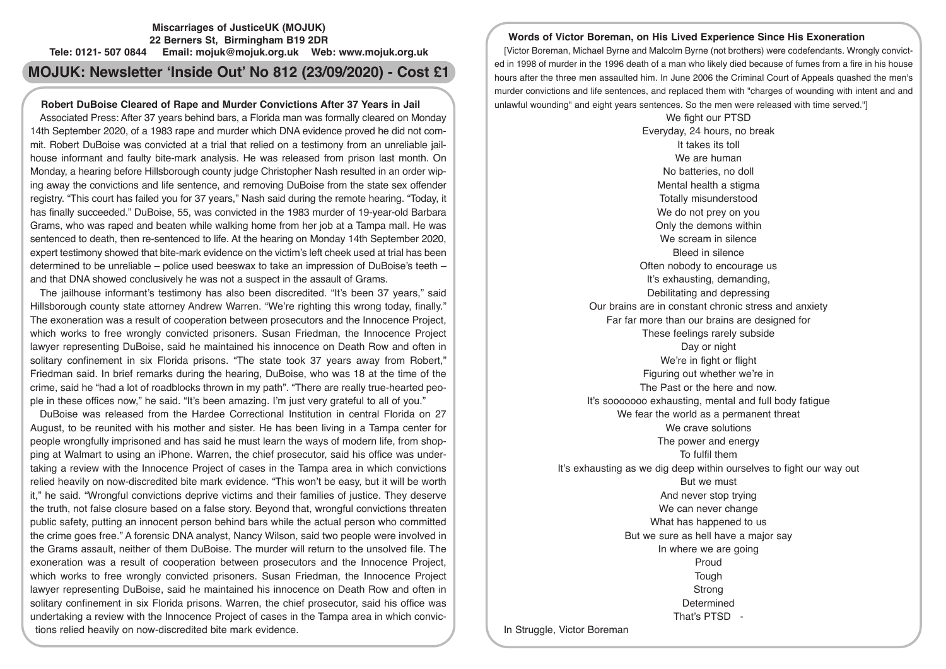# **Miscarriages of JusticeUK (MOJUK) 22 Berners St, Birmingham B19 2DR Tele: 0121- 507 0844 Email: mojuk@mojuk.org.uk Web: www.mojuk.org.uk**

# **MOJUK: Newsletter 'Inside Out' No 812 (23/09/2020) - Cost £1**

 **Robert DuBoise Cleared of Rape and Murder Convictions After 37 Years in Jail** 

Associated Press: After 37 years behind bars, a Florida man was formally cleared on Monday 14th September 2020, of a 1983 rape and murder which DNA evidence proved he did not commit. Robert DuBoise was convicted at a trial that relied on a testimony from an unreliable jailhouse informant and faulty bite-mark analysis. He was released from prison last month. On Monday, a hearing before Hillsborough county judge Christopher Nash resulted in an order wiping away the convictions and life sentence, and removing DuBoise from the state sex offender registry. "This court has failed you for 37 years," Nash said during the remote hearing. "Today, it has finally succeeded." DuBoise, 55, was convicted in the 1983 murder of 19-year-old Barbara Grams, who was raped and beaten while walking home from her job at a Tampa mall. He was sentenced to death, then re-sentenced to life. At the hearing on Monday 14th September 2020, expert testimony showed that bite-mark evidence on the victim's left cheek used at trial has been determined to be unreliable – police used beeswax to take an impression of DuBoise's teeth – and that DNA showed conclusively he was not a suspect in the assault of Grams.

The jailhouse informant's testimony has also been discredited. "It's been 37 years," said Hillsborough county state attorney Andrew Warren. "We're righting this wrong today, finally." The exoneration was a result of cooperation between prosecutors and the Innocence Project, which works to free wrongly convicted prisoners. Susan Friedman, the Innocence Project lawyer representing DuBoise, said he maintained his innocence on Death Row and often in solitary confinement in six Florida prisons. "The state took 37 years away from Robert," Friedman said. In brief remarks during the hearing, DuBoise, who was 18 at the time of the crime, said he "had a lot of roadblocks thrown in my path". "There are really true-hearted people in these offices now," he said. "It's been amazing. I'm just very grateful to all of you."

DuBoise was released from the Hardee Correctional Institution in central Florida on 27 August, to be reunited with his mother and sister. He has been living in a Tampa center for people wrongfully imprisoned and has said he must learn the ways of modern life, from shopping at Walmart to using an iPhone. Warren, the chief prosecutor, said his office was undertaking a review with the Innocence Project of cases in the Tampa area in which convictions relied heavily on now-discredited bite mark evidence. "This won't be easy, but it will be worth it," he said. "Wrongful convictions deprive victims and their families of justice. They deserve the truth, not false closure based on a false story. Beyond that, wrongful convictions threaten public safety, putting an innocent person behind bars while the actual person who committed the crime goes free." A forensic DNA analyst, Nancy Wilson, said two people were involved in the Grams assault, neither of them DuBoise. The murder will return to the unsolved file. The exoneration was a result of cooperation between prosecutors and the Innocence Project, which works to free wrongly convicted prisoners. Susan Friedman, the Innocence Project lawyer representing DuBoise, said he maintained his innocence on Death Row and often in solitary confinement in six Florida prisons. Warren, the chief prosecutor, said his office was undertaking a review with the Innocence Project of cases in the Tampa area in which convictions relied heavily on now-discredited bite mark evidence.

#### **Words of Victor Boreman, on His Lived Experience Since His Exoneration**

[Victor Boreman, Michael Byrne and Malcolm Byrne (not brothers) were codefendants. Wrongly convicted in 1998 of murder in the 1996 death of a man who likely died because of fumes from a fire in his house hours after the three men assaulted him. In June 2006 the Criminal Court of Appeals quashed the men's murder convictions and life sentences, and replaced them with "charges of wounding with intent and and unlawful wounding" and eight years sentences. So the men were released with time served."]

> We fight our PTSD Everyday, 24 hours, no break It takes its toll We are human No batteries, no doll Mental health a stigma Totally misunderstood We do not prey on you Only the demons within We scream in silence Bleed in silence Often nobody to encourage us It's exhausting, demanding, Debilitating and depressing Our brains are in constant chronic stress and anxiety Far far more than our brains are designed for These feelings rarely subside Day or night We're in fight or flight Figuring out whether we're in The Past or the here and now. It's sooooooo exhausting, mental and full body fatigue We fear the world as a permanent threat We crave solutions The power and energy To fulfil them It's exhausting as we dig deep within ourselves to fight our way out But we must And never stop trying We can never change What has happened to us But we sure as hell have a major say In where we are going Proud Tough Strong **Determined** That's PTSD -

In Struggle, Victor Boreman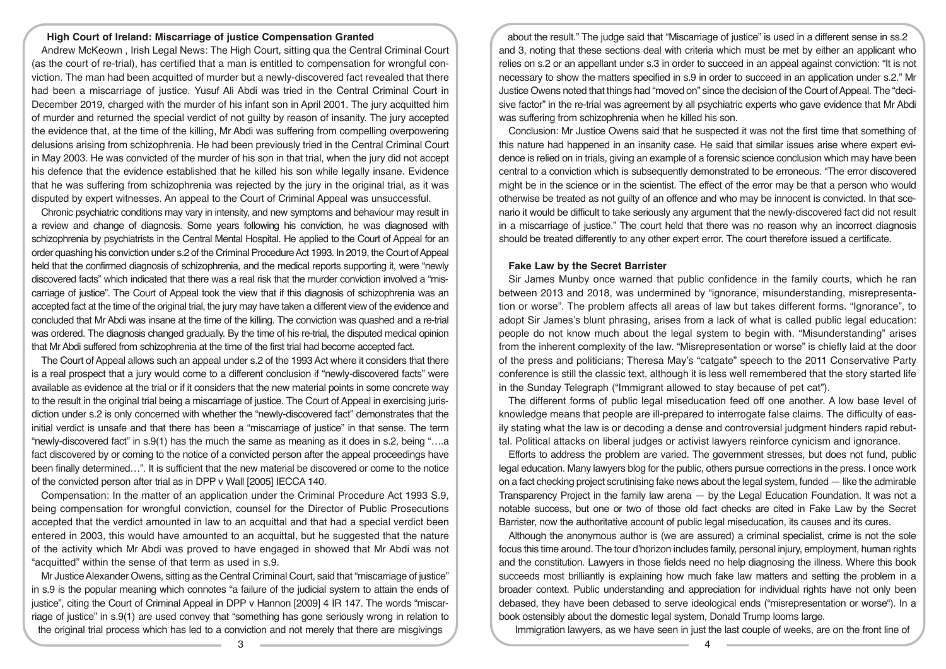# **High Court of Ireland: Miscarriage of justice Compensation Granted**

Andrew McKeown , Irish Legal News: The High Court, sitting qua the Central Criminal Court (as the court of re-trial), has certified that a man is entitled to compensation for wrongful conviction. The man had been acquitted of murder but a newly-discovered fact revealed that there had been a miscarriage of justice. Yusuf Ali Abdi was tried in the Central Criminal Court in December 2019, charged with the murder of his infant son in April 2001. The jury acquitted him of murder and returned the special verdict of not guilty by reason of insanity. The jury accepted the evidence that, at the time of the killing, Mr Abdi was suffering from compelling overpowering delusions arising from schizophrenia. He had been previously tried in the Central Criminal Court in May 2003. He was convicted of the murder of his son in that trial, when the jury did not accept his defence that the evidence established that he killed his son while legally insane. Evidence that he was suffering from schizophrenia was rejected by the jury in the original trial, as it was disputed by expert witnesses. An appeal to the Court of Criminal Appeal was unsuccessful.

Chronic psychiatric conditions may vary in intensity, and new symptoms and behaviour may result in a review and change of diagnosis. Some years following his conviction, he was diagnosed with schizophrenia by psychiatrists in the Central Mental Hospital. He applied to the Court of Appeal for an order quashing his conviction under s.2 of the Criminal Procedure Act 1993. In 2019, the Court of Appeal held that the confirmed diagnosis of schizophrenia, and the medical reports supporting it, were "newly discovered facts" which indicated that there was a real risk that the murder conviction involved a "miscarriage of justice". The Court of Appeal took the view that if this diagnosis of schizophrenia was an accepted fact at the time of the original trial, the jury may have taken a different view of the evidence and concluded that Mr Abdi was insane at the time of the killing. The conviction was quashed and a re-trial was ordered. The diagnosis changed gradually. By the time of his re-trial, the disputed medical opinion that Mr Abdi suffered from schizophrenia at the time of the first trial had become accepted fact.

The Court of Appeal allows such an appeal under s.2 of the 1993 Act where it considers that there is a real prospect that a jury would come to a different conclusion if "newly-discovered facts" were available as evidence at the trial or if it considers that the new material points in some concrete way to the result in the original trial being a miscarriage of justice. The Court of Appeal in exercising jurisdiction under s.2 is only concerned with whether the "newly-discovered fact" demonstrates that the initial verdict is unsafe and that there has been a "miscarriage of justice" in that sense. The term "newly-discovered fact" in s.9(1) has the much the same as meaning as it does in s.2, being "….a fact discovered by or coming to the notice of a convicted person after the appeal proceedings have been finally determined…". It is sufficient that the new material be discovered or come to the notice of the convicted person after trial as in DPP v Wall [2005] IECCA 140.

Compensation: In the matter of an application under the Criminal Procedure Act 1993 S.9, being compensation for wrongful conviction, counsel for the Director of Public Prosecutions accepted that the verdict amounted in law to an acquittal and that had a special verdict been entered in 2003, this would have amounted to an acquittal, but he suggested that the nature of the activity which Mr Abdi was proved to have engaged in showed that Mr Abdi was not "acquitted" within the sense of that term as used in s.9.

Mr Justice Alexander Owens, sitting as the Central Criminal Court, said that "miscarriage of justice" in s.9 is the popular meaning which connotes "a failure of the judicial system to attain the ends of justice", citing the Court of Criminal Appeal in DPP v Hannon [2009] 4 IR 147. The words "miscarriage of justice" in s.9(1) are used convey that "something has gone seriously wrong in relation to the original trial process which has led to a conviction and not merely that there are misgivings

about the result." The judge said that "Miscarriage of justice" is used in a different sense in ss.2 and 3, noting that these sections deal with criteria which must be met by either an applicant who relies on s.2 or an appellant under s.3 in order to succeed in an appeal against conviction: "It is not necessary to show the matters specified in s.9 in order to succeed in an application under s.2." Mr Justice Owens noted that things had "moved on" since the decision of the Court of Appeal. The "decisive factor" in the re-trial was agreement by all psychiatric experts who gave evidence that Mr Abdi was suffering from schizophrenia when he killed his son.

Conclusion: Mr Justice Owens said that he suspected it was not the first time that something of this nature had happened in an insanity case. He said that similar issues arise where expert evidence is relied on in trials, giving an example of a forensic science conclusion which may have been central to a conviction which is subsequently demonstrated to be erroneous. "The error discovered might be in the science or in the scientist. The effect of the error may be that a person who would otherwise be treated as not guilty of an offence and who may be innocent is convicted. In that scenario it would be difficult to take seriously any argument that the newly-discovered fact did not result in a miscarriage of justice." The court held that there was no reason why an incorrect diagnosis should be treated differently to any other expert error. The court therefore issued a certificate.

### **Fake Law by the Secret Barrister**

Sir James Munby once warned that public confidence in the family courts, which he ran between 2013 and 2018, was undermined by "ignorance, misunderstanding, misrepresentation or worse". The problem affects all areas of law but takes different forms. "Ignorance", to adopt Sir James's blunt phrasing, arises from a lack of what is called public legal education: people do not know much about the legal system to begin with. "Misunderstanding" arises from the inherent complexity of the law. "Misrepresentation or worse" is chiefly laid at the door of the press and politicians; Theresa May's "catgate" speech to the 2011 Conservative Party conference is still the classic text, although it is less well remembered that the story started life in the Sunday Telegraph ("Immigrant allowed to stay because of pet cat").

The different forms of public legal miseducation feed off one another. A low base level of knowledge means that people are ill-prepared to interrogate false claims. The difficulty of easily stating what the law is or decoding a dense and controversial judgment hinders rapid rebuttal. Political attacks on liberal judges or activist lawyers reinforce cynicism and ignorance.

Efforts to address the problem are varied. The government stresses, but does not fund, public legal education. Many lawyers blog for the public, others pursue corrections in the press. I once work on a fact checking project scrutinising fake news about the legal system, funded — like the admirable Transparency Project in the family law arena — by the Legal Education Foundation. It was not a notable success, but one or two of those old fact checks are cited in Fake Law by the Secret Barrister, now the authoritative account of public legal miseducation, its causes and its cures.

Although the anonymous author is (we are assured) a criminal specialist, crime is not the sole focus this time around. The tour d'horizon includes family, personal injury, employment, human rights and the constitution. Lawyers in those fields need no help diagnosing the illness. Where this book succeeds most brilliantly is explaining how much fake law matters and setting the problem in a broader context. Public understanding and appreciation for individual rights have not only been debased, they have been debased to serve ideological ends ("misrepresentation or worse"). In a book ostensibly about the domestic legal system, Donald Trump looms large.

Immigration lawyers, as we have seen in just the last couple of weeks, are on the front line of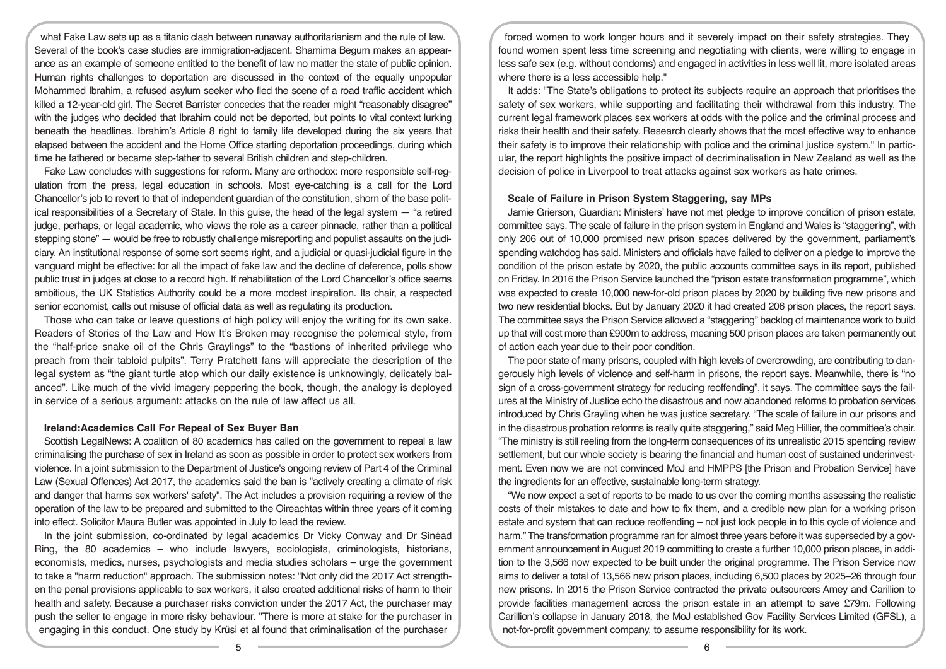what Fake Law sets up as a titanic clash between runaway authoritarianism and the rule of law. Several of the book's case studies are immigration-adjacent. Shamima Begum makes an appearance as an example of someone entitled to the benefit of law no matter the state of public opinion. Human rights challenges to deportation are discussed in the context of the equally unpopular Mohammed Ibrahim, a refused asylum seeker who fled the scene of a road traffic accident which killed a 12-year-old girl. The Secret Barrister concedes that the reader might "reasonably disagree" with the judges who decided that Ibrahim could not be deported, but points to vital context lurking beneath the headlines. Ibrahim's Article 8 right to family life developed during the six years that elapsed between the accident and the Home Office starting deportation proceedings, during which time he fathered or became step-father to several British children and step-children.

Fake Law concludes with suggestions for reform. Many are orthodox: more responsible self-regulation from the press, legal education in schools. Most eye-catching is a call for the Lord Chancellor's job to revert to that of independent guardian of the constitution, shorn of the base political responsibilities of a Secretary of State. In this guise, the head of the legal system — "a retired judge, perhaps, or legal academic, who views the role as a career pinnacle, rather than a political stepping stone" — would be free to robustly challenge misreporting and populist assaults on the judiciary. An institutional response of some sort seems right, and a judicial or quasi-judicial figure in the vanguard might be effective: for all the impact of fake law and the decline of deference, polls show public trust in judges at close to a record high. If rehabilitation of the Lord Chancellor's office seems ambitious, the UK Statistics Authority could be a more modest inspiration. Its chair, a respected senior economist, calls out misuse of official data as well as regulating its production.

Those who can take or leave questions of high policy will enjoy the writing for its own sake. Readers of Stories of the Law and How It's Broken may recognise the polemical style, from the "half-price snake oil of the Chris Graylings" to the "bastions of inherited privilege who preach from their tabloid pulpits". Terry Pratchett fans will appreciate the description of the legal system as "the giant turtle atop which our daily existence is unknowingly, delicately balanced". Like much of the vivid imagery peppering the book, though, the analogy is deployed in service of a serious argument: attacks on the rule of law affect us all.

# **Ireland:Academics Call For Repeal of Sex Buyer Ban**

Scottish LegalNews: A coalition of 80 academics has called on the government to repeal a law criminalising the purchase of sex in Ireland as soon as possible in order to protect sex workers from violence. In a joint submission to the Department of Justice's ongoing review of Part 4 of the Criminal Law (Sexual Offences) Act 2017, the academics said the ban is "actively creating a climate of risk and danger that harms sex workers' safety". The Act includes a provision requiring a review of the operation of the law to be prepared and submitted to the Oireachtas within three years of it coming into effect. Solicitor Maura Butler was appointed in July to lead the review.

In the joint submission, co-ordinated by legal academics Dr Vicky Conway and Dr Sinéad Ring, the 80 academics – who include lawyers, sociologists, criminologists, historians, economists, medics, nurses, psychologists and media studies scholars – urge the government to take a "harm reduction" approach. The submission notes: "Not only did the 2017 Act strengthen the penal provisions applicable to sex workers, it also created additional risks of harm to their health and safety. Because a purchaser risks conviction under the 2017 Act, the purchaser may push the seller to engage in more risky behaviour. "There is more at stake for the purchaser in engaging in this conduct. One study by Krüsi et al found that criminalisation of the purchaser

forced women to work longer hours and it severely impact on their safety strategies. They found women spent less time screening and negotiating with clients, were willing to engage in less safe sex (e.g. without condoms) and engaged in activities in less well lit, more isolated areas where there is a less accessible help."

It adds: "The State's obligations to protect its subjects require an approach that prioritises the safety of sex workers, while supporting and facilitating their withdrawal from this industry. The current legal framework places sex workers at odds with the police and the criminal process and risks their health and their safety. Research clearly shows that the most effective way to enhance their safety is to improve their relationship with police and the criminal justice system." In particular, the report highlights the positive impact of decriminalisation in New Zealand as well as the decision of police in Liverpool to treat attacks against sex workers as hate crimes.

# **Scale of Failure in Prison System Staggering, say MPs**

Jamie Grierson, Guardian: Ministers' have not met pledge to improve condition of prison estate, committee says. The scale of failure in the prison system in England and Wales is "staggering", with only 206 out of 10,000 promised new prison spaces delivered by the government, parliament's spending watchdog has said. Ministers and officials have failed to deliver on a pledge to improve the condition of the prison estate by 2020, the public accounts committee says in its report, published on Friday. In 2016 the Prison Service launched the "prison estate transformation programme", which was expected to create 10,000 new-for-old prison places by 2020 by building five new prisons and two new residential blocks. But by January 2020 it had created 206 prison places, the report says. The committee says the Prison Service allowed a "staggering" backlog of maintenance work to build up that will cost more than £900m to address, meaning 500 prison places are taken permanently out of action each year due to their poor condition.

The poor state of many prisons, coupled with high levels of overcrowding, are contributing to dangerously high levels of violence and self-harm in prisons, the report says. Meanwhile, there is "no sign of a cross-government strategy for reducing reoffending", it says. The committee says the failures at the Ministry of Justice echo the disastrous and now abandoned reforms to probation services introduced by Chris Grayling when he was justice secretary. "The scale of failure in our prisons and in the disastrous probation reforms is really quite staggering," said Meg Hillier, the committee's chair. "The ministry is still reeling from the long-term consequences of its unrealistic 2015 spending review settlement, but our whole society is bearing the financial and human cost of sustained underinvestment. Even now we are not convinced MoJ and HMPPS [the Prison and Probation Service] have the ingredients for an effective, sustainable long-term strategy.

"We now expect a set of reports to be made to us over the coming months assessing the realistic costs of their mistakes to date and how to fix them, and a credible new plan for a working prison estate and system that can reduce reoffending – not just lock people in to this cycle of violence and harm." The transformation programme ran for almost three years before it was superseded by a government announcement in August 2019 committing to create a further 10,000 prison places, in addition to the 3,566 now expected to be built under the original programme. The Prison Service now aims to deliver a total of 13,566 new prison places, including 6,500 places by 2025–26 through four new prisons. In 2015 the Prison Service contracted the private outsourcers Amey and Carillion to provide facilities management across the prison estate in an attempt to save £79m. Following Carillion's collapse in January 2018, the MoJ established Gov Facility Services Limited (GFSL), a not-for-profit government company, to assume responsibility for its work.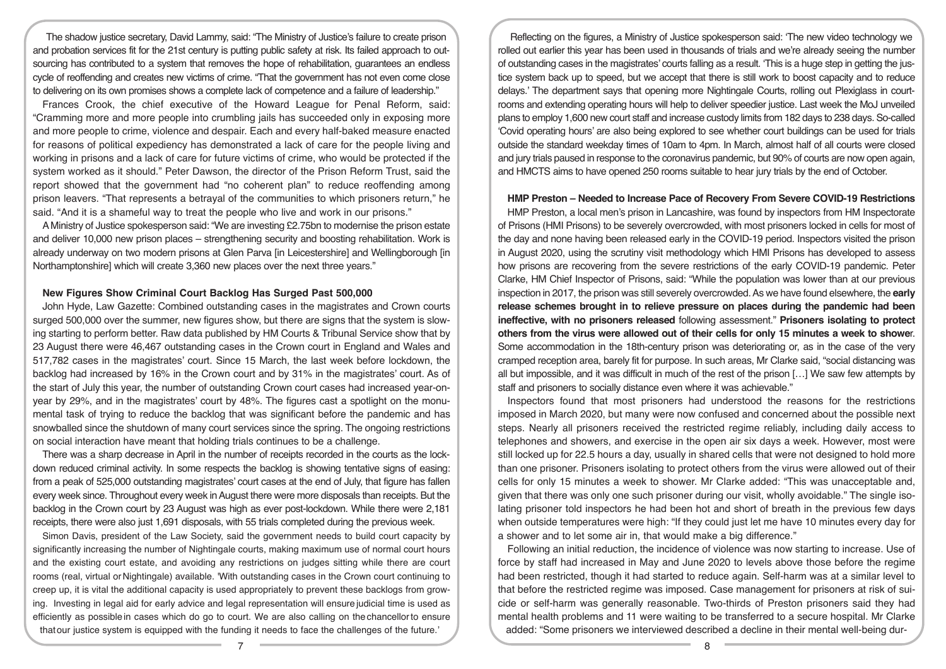The shadow justice secretary, David Lammy, said: "The Ministry of Justice's failure to create prison and probation services fit for the 21st century is putting public safety at risk. Its failed approach to outsourcing has contributed to a system that removes the hope of rehabilitation, guarantees an endless cycle of reoffending and creates new victims of crime. "That the government has not even come close to delivering on its own promises shows a complete lack of competence and a failure of leadership."

Frances Crook, the chief executive of the Howard League for Penal Reform, said: "Cramming more and more people into crumbling jails has succeeded only in exposing more and more people to crime, violence and despair. Each and every half-baked measure enacted for reasons of political expediency has demonstrated a lack of care for the people living and working in prisons and a lack of care for future victims of crime, who would be protected if the system worked as it should." Peter Dawson, the director of the Prison Reform Trust, said the report showed that the government had "no coherent plan" to reduce reoffending among prison leavers. "That represents a betrayal of the communities to which prisoners return," he said. "And it is a shameful way to treat the people who live and work in our prisons."

A Ministry of Justice spokesperson said: "We are investing £2.75bn to modernise the prison estate and deliver 10,000 new prison places – strengthening security and boosting rehabilitation. Work is already underway on two modern prisons at Glen Parva [in Leicestershire] and Wellingborough [in Northamptonshire] which will create 3,360 new places over the next three years."

# **New Figures Show Criminal Court Backlog Has Surged Past 500,000**

John Hyde, Law Gazette: Combined outstanding cases in the magistrates and Crown courts surged 500,000 over the summer, new figures show, but there are signs that the system is slowing starting to perform better. Raw data published by HM Courts & Tribunal Service show that by 23 August there were 46,467 outstanding cases in the Crown court in England and Wales and 517,782 cases in the magistrates' court. Since 15 March, the last week before lockdown, the backlog had increased by 16% in the Crown court and by 31% in the magistrates' court. As of the start of July this year, the number of outstanding Crown court cases had increased year-onyear by 29%, and in the magistrates' court by 48%. The figures cast a spotlight on the monumental task of trying to reduce the backlog that was significant before the pandemic and has snowballed since the shutdown of many court services since the spring. The ongoing restrictions on social interaction have meant that holding trials continues to be a challenge.

There was a sharp decrease in April in the number of receipts recorded in the courts as the lockdown reduced criminal activity. In some respects the backlog is showing tentative signs of easing: from a peak of 525,000 outstanding magistrates' court cases at the end of July, that figure has fallen every week since. Throughout every week in August there were more disposals than receipts. But the backlog in the Crown court by 23 August was high as ever post-lockdown. While there were 2,181 receipts, there were also just 1,691 disposals, with 55 trials completed during the previous week.

Simon Davis, president of the Law Society, said the government needs to build court capacity by significantly increasing the number of Nightingale courts, making maximum use of normal court hours and the existing court estate, and avoiding any restrictions on judges sitting while there are court rooms (real, virtual or Nightingale) available. 'With outstanding cases in the Crown court continuing to creep up, it is vital the additional capacity is used appropriately to prevent these backlogs from growing. Investing in legal aid for early advice and legal representation will ensure judicial time is used as efficiently as possible in cases which do go to court. We are also calling on the chancellorto ensure that our justice system is equipped with the funding it needs to face the challenges of the future.'

Reflecting on the figures, a Ministry of Justice spokesperson said: 'The new video technology we rolled out earlier this year has been used in thousands of trials and we're already seeing the number of outstanding cases in the magistrates' courts falling as a result. 'This is a huge step in getting the justice system back up to speed, but we accept that there is still work to boost capacity and to reduce delays.' The department says that opening more Nightingale Courts, rolling out Plexiglass in courtrooms and extending operating hours will help to deliver speedier justice. Last week the MoJ unveiled plans to employ 1,600 new court staff and increase custody limits from 182 days to 238 days. So-called 'Covid operating hours' are also being explored to see whether court buildings can be used for trials outside the standard weekday times of 10am to 4pm. In March, almost half of all courts were closed and jury trials paused in response to the coronavirus pandemic, but 90% of courts are now open again, and HMCTS aims to have opened 250 rooms suitable to hear jury trials by the end of October.

### **HMP Preston – Needed to Increase Pace of Recovery From Severe COVID-19 Restrictions**

HMP Preston, a local men's prison in Lancashire, was found by inspectors from HM Inspectorate of Prisons (HMI Prisons) to be severely overcrowded, with most prisoners locked in cells for most of the day and none having been released early in the COVID-19 period. Inspectors visited the prison in August 2020, using the scrutiny visit methodology which HMI Prisons has developed to assess how prisons are recovering from the severe restrictions of the early COVID-19 pandemic. Peter Clarke, HM Chief Inspector of Prisons, said: "While the population was lower than at our previous inspection in 2017, the prison was still severely overcrowded. As we have found elsewhere, the **early release schemes brought in to relieve pressure on places during the pandemic had been ineffective, with no prisoners released** following assessment." **Prisoners isolating to protect others from the virus were allowed out of their cells for only 15 minutes a week to showe**r. Some accommodation in the 18th-century prison was deteriorating or, as in the case of the very cramped reception area, barely fit for purpose. In such areas, Mr Clarke said, "social distancing was all but impossible, and it was difficult in much of the rest of the prison […] We saw few attempts by staff and prisoners to socially distance even where it was achievable."

Inspectors found that most prisoners had understood the reasons for the restrictions imposed in March 2020, but many were now confused and concerned about the possible next steps. Nearly all prisoners received the restricted regime reliably, including daily access to telephones and showers, and exercise in the open air six days a week. However, most were still locked up for 22.5 hours a day, usually in shared cells that were not designed to hold more than one prisoner. Prisoners isolating to protect others from the virus were allowed out of their cells for only 15 minutes a week to shower. Mr Clarke added: "This was unacceptable and, given that there was only one such prisoner during our visit, wholly avoidable." The single isolating prisoner told inspectors he had been hot and short of breath in the previous few days when outside temperatures were high: "If they could just let me have 10 minutes every day for a shower and to let some air in, that would make a big difference."

Following an initial reduction, the incidence of violence was now starting to increase. Use of force by staff had increased in May and June 2020 to levels above those before the regime had been restricted, though it had started to reduce again. Self-harm was at a similar level to that before the restricted regime was imposed. Case management for prisoners at risk of suicide or self-harm was generally reasonable. Two-thirds of Preston prisoners said they had mental health problems and 11 were waiting to be transferred to a secure hospital. Mr Clarke added: "Some prisoners we interviewed described a decline in their mental well-being dur-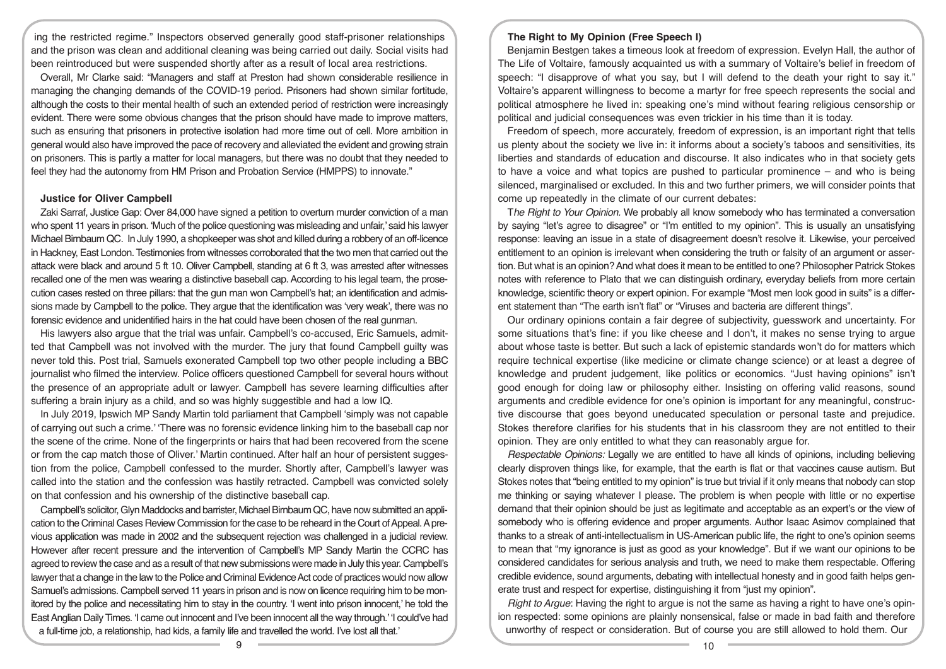ing the restricted regime." Inspectors observed generally good staff-prisoner relationships and the prison was clean and additional cleaning was being carried out daily. Social visits had been reintroduced but were suspended shortly after as a result of local area restrictions.

Overall, Mr Clarke said: "Managers and staff at Preston had shown considerable resilience in managing the changing demands of the COVID-19 period. Prisoners had shown similar fortitude, although the costs to their mental health of such an extended period of restriction were increasingly evident. There were some obvious changes that the prison should have made to improve matters, such as ensuring that prisoners in protective isolation had more time out of cell. More ambition in general would also have improved the pace of recovery and alleviated the evident and growing strain on prisoners. This is partly a matter for local managers, but there was no doubt that they needed to feel they had the autonomy from HM Prison and Probation Service (HMPPS) to innovate."

# **Justice for Oliver Campbell**

Zaki Sarraf, Justice Gap: Over 84,000 have signed a petition to overturn murder conviction of a man who spent 11 years in prison. 'Much of the police questioning was misleading and unfair,' said his lawyer Michael Birnbaum QC. In July 1990, a shopkeeper was shot and killed during a robbery of an off-licence in Hackney, East London. Testimonies from witnesses corroborated that the two men that carried out the attack were black and around 5 ft 10. Oliver Campbell, standing at 6 ft 3, was arrested after witnesses recalled one of the men was wearing a distinctive baseball cap. According to his legal team, the prosecution cases rested on three pillars: that the gun man won Campbell's hat; an identification and admissions made by Campbell to the police. They argue that the identification was 'very weak', there was no forensic evidence and unidentified hairs in the hat could have been chosen of the real gunman.

His lawyers also argue that the trial was unfair. Campbell's co-accused, Eric Samuels, admitted that Campbell was not involved with the murder. The jury that found Campbell guilty was never told this. Post trial, Samuels exonerated Campbell top two other people including a BBC journalist who filmed the interview. Police officers questioned Campbell for several hours without the presence of an appropriate adult or lawyer. Campbell has severe learning difficulties after suffering a brain injury as a child, and so was highly suggestible and had a low IQ.

In July 2019, Ipswich MP Sandy Martin told parliament that Campbell 'simply was not capable of carrying out such a crime.' 'There was no forensic evidence linking him to the baseball cap nor the scene of the crime. None of the fingerprints or hairs that had been recovered from the scene or from the cap match those of Oliver.' Martin continued. After half an hour of persistent suggestion from the police, Campbell confessed to the murder. Shortly after, Campbell's lawyer was called into the station and the confession was hastily retracted. Campbell was convicted solely on that confession and his ownership of the distinctive baseball cap.

Campbell's solicitor, Glyn Maddocks and barrister, Michael Birnbaum QC, have now submitted an application to the Criminal Cases Review Commission for the case to be reheard in the Court of Appeal. A previous application was made in 2002 and the subsequent rejection was challenged in a judicial review. However after recent pressure and the intervention of Campbell's MP Sandy Martin the CCRC has agreed to review the case and as a result of that new submissions were made in July this year. Campbell's lawyer that a change in the law to the Police and Criminal Evidence Act code of practices would now allow Samuel's admissions. Campbell served 11 years in prison and is now on licence requiring him to be monitored by the police and necessitating him to stay in the country. 'I went into prison innocent,' he told the East Anglian Daily Times. 'I came out innocent and I've been innocent all the way through.' 'I could've had a full-time job, a relationship, had kids, a family life and travelled the world. I've lost all that.'

# **The Right to My Opinion (Free Speech I)**

Benjamin Bestgen takes a timeous look at freedom of expression. Evelyn Hall, the author of The Life of Voltaire, famously acquainted us with a summary of Voltaire's belief in freedom of speech: "I disapprove of what you say, but I will defend to the death your right to say it." Voltaire's apparent willingness to become a martyr for free speech represents the social and political atmosphere he lived in: speaking one's mind without fearing religious censorship or political and judicial consequences was even trickier in his time than it is today.

Freedom of speech, more accurately, freedom of expression, is an important right that tells us plenty about the society we live in: it informs about a society's taboos and sensitivities, its liberties and standards of education and discourse. It also indicates who in that society gets to have a voice and what topics are pushed to particular prominence – and who is being silenced, marginalised or excluded. In this and two further primers, we will consider points that come up repeatedly in the climate of our current debates:

T*he Right to Your Opinion.* We probably all know somebody who has terminated a conversation by saying "let's agree to disagree" or "I'm entitled to my opinion". This is usually an unsatisfying response: leaving an issue in a state of disagreement doesn't resolve it. Likewise, your perceived entitlement to an opinion is irrelevant when considering the truth or falsity of an argument or assertion. But what is an opinion? And what does it mean to be entitled to one? Philosopher Patrick Stokes notes with reference to Plato that we can distinguish ordinary, everyday beliefs from more certain knowledge, scientific theory or expert opinion. For example "Most men look good in suits" is a different statement than "The earth isn't flat" or "Viruses and bacteria are different things".

Our ordinary opinions contain a fair degree of subjectivity, guesswork and uncertainty. For some situations that's fine: if you like cheese and I don't, it makes no sense trying to argue about whose taste is better. But such a lack of epistemic standards won't do for matters which require technical expertise (like medicine or climate change science) or at least a degree of knowledge and prudent judgement, like politics or economics. "Just having opinions" isn't good enough for doing law or philosophy either. Insisting on offering valid reasons, sound arguments and credible evidence for one's opinion is important for any meaningful, constructive discourse that goes beyond uneducated speculation or personal taste and prejudice. Stokes therefore clarifies for his students that in his classroom they are not entitled to their opinion. They are only entitled to what they can reasonably argue for.

*Respectable Opinions:* Legally we are entitled to have all kinds of opinions, including believing clearly disproven things like, for example, that the earth is flat or that vaccines cause autism. But Stokes notes that "being entitled to my opinion" is true but trivial if it only means that nobody can stop me thinking or saying whatever I please. The problem is when people with little or no expertise demand that their opinion should be just as legitimate and acceptable as an expert's or the view of somebody who is offering evidence and proper arguments. Author Isaac Asimov complained that thanks to a streak of anti-intellectualism in US-American public life, the right to one's opinion seems to mean that "my ignorance is just as good as your knowledge". But if we want our opinions to be considered candidates for serious analysis and truth, we need to make them respectable. Offering credible evidence, sound arguments, debating with intellectual honesty and in good faith helps generate trust and respect for expertise, distinguishing it from "just my opinion".

*Right to Argue*: Having the right to argue is not the same as having a right to have one's opinion respected: some opinions are plainly nonsensical, false or made in bad faith and therefore unworthy of respect or consideration. But of course you are still allowed to hold them. Our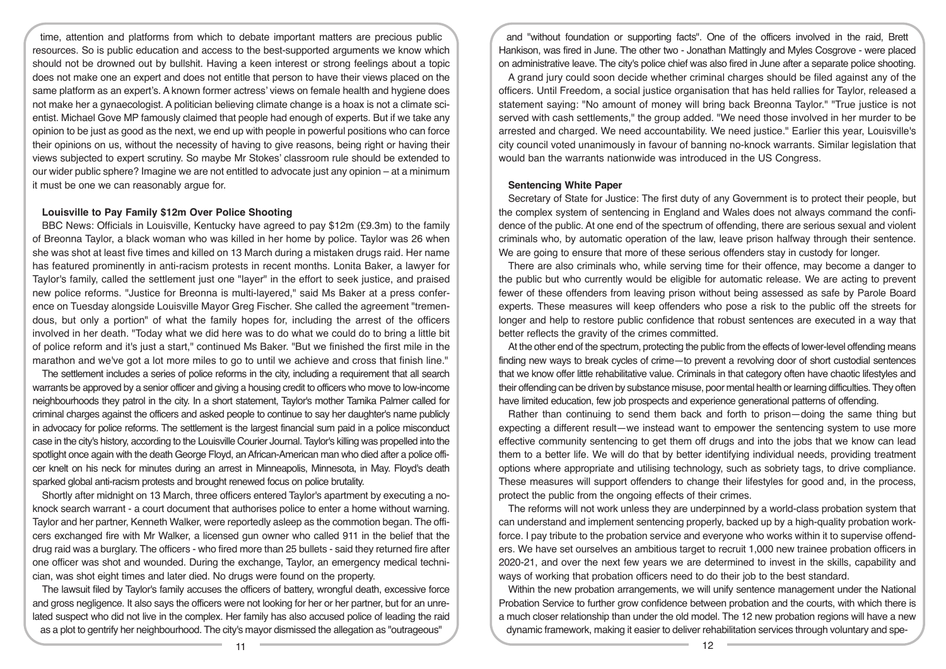time, attention and platforms from which to debate important matters are precious public resources. So is public education and access to the best-supported arguments we know which should not be drowned out by bullshit. Having a keen interest or strong feelings about a topic does not make one an expert and does not entitle that person to have their views placed on the same platform as an expert's. A known former actress' views on female health and hygiene does not make her a gynaecologist. A politician believing climate change is a hoax is not a climate scientist. Michael Gove MP famously claimed that people had enough of experts. But if we take any opinion to be just as good as the next, we end up with people in powerful positions who can force their opinions on us, without the necessity of having to give reasons, being right or having their views subjected to expert scrutiny. So maybe Mr Stokes' classroom rule should be extended to our wider public sphere? Imagine we are not entitled to advocate just any opinion – at a minimum it must be one we can reasonably argue for.

# **Louisville to Pay Family \$12m Over Police Shooting**

BBC News: Officials in Louisville, Kentucky have agreed to pay \$12m (£9.3m) to the family of Breonna Taylor, a black woman who was killed in her home by police. Taylor was 26 when she was shot at least five times and killed on 13 March during a mistaken drugs raid. Her name has featured prominently in anti-racism protests in recent months. Lonita Baker, a lawyer for Taylor's family, called the settlement just one "layer" in the effort to seek justice, and praised new police reforms. "Justice for Breonna is multi-layered," said Ms Baker at a press conference on Tuesday alongside Louisville Mayor Greg Fischer. She called the agreement "tremendous, but only a portion" of what the family hopes for, including the arrest of the officers involved in her death. "Today what we did here was to do what we could do to bring a little bit of police reform and it's just a start," continued Ms Baker. "But we finished the first mile in the marathon and we've got a lot more miles to go to until we achieve and cross that finish line."

The settlement includes a series of police reforms in the city, including a requirement that all search warrants be approved by a senior officer and giving a housing credit to officers who move to low-income neighbourhoods they patrol in the city. In a short statement, Taylor's mother Tamika Palmer called for criminal charges against the officers and asked people to continue to say her daughter's name publicly in advocacy for police reforms. The settlement is the largest financial sum paid in a police misconduct case in the city's history, according to the Louisville Courier Journal. Taylor's killing was propelled into the spotlight once again with the death George Floyd, an African-American man who died after a police officer knelt on his neck for minutes during an arrest in Minneapolis, Minnesota, in May. Floyd's death sparked global anti-racism protests and brought renewed focus on police brutality.

Shortly after midnight on 13 March, three officers entered Taylor's apartment by executing a noknock search warrant - a court document that authorises police to enter a home without warning. Taylor and her partner, Kenneth Walker, were reportedly asleep as the commotion began. The officers exchanged fire with Mr Walker, a licensed gun owner who called 911 in the belief that the drug raid was a burglary. The officers - who fired more than 25 bullets - said they returned fire after one officer was shot and wounded. During the exchange, Taylor, an emergency medical technician, was shot eight times and later died. No drugs were found on the property.

The lawsuit filed by Taylor's family accuses the officers of battery, wrongful death, excessive force and gross negligence. It also says the officers were not looking for her or her partner, but for an unrelated suspect who did not live in the complex. Her family has also accused police of leading the raid as a plot to gentrify her neighbourhood. The city's mayor dismissed the allegation as "outrageous"

and "without foundation or supporting facts". One of the officers involved in the raid, Brett Hankison, was fired in June. The other two - Jonathan Mattingly and Myles Cosgrove - were placed on administrative leave. The city's police chief was also fired in June after a separate police shooting.

A grand jury could soon decide whether criminal charges should be filed against any of the officers. Until Freedom, a social justice organisation that has held rallies for Taylor, released a statement saying: "No amount of money will bring back Breonna Taylor." "True justice is not served with cash settlements," the group added. "We need those involved in her murder to be arrested and charged. We need accountability. We need justice." Earlier this year, Louisville's city council voted unanimously in favour of banning no-knock warrants. Similar legislation that would ban the warrants nationwide was introduced in the US Congress.

#### **Sentencing White Paper**

Secretary of State for Justice: The first duty of any Government is to protect their people, but the complex system of sentencing in England and Wales does not always command the confidence of the public. At one end of the spectrum of offending, there are serious sexual and violent criminals who, by automatic operation of the law, leave prison halfway through their sentence. We are going to ensure that more of these serious offenders stay in custody for longer.

There are also criminals who, while serving time for their offence, may become a danger to the public but who currently would be eligible for automatic release. We are acting to prevent fewer of these offenders from leaving prison without being assessed as safe by Parole Board experts. These measures will keep offenders who pose a risk to the public off the streets for longer and help to restore public confidence that robust sentences are executed in a way that better reflects the gravity of the crimes committed.

At the other end of the spectrum, protecting the public from the effects of lower-level offending means finding new ways to break cycles of crime—to prevent a revolving door of short custodial sentences that we know offer little rehabilitative value. Criminals in that category often have chaotic lifestyles and their offending can be driven by substance misuse, poor mental health or learning difficulties. They often have limited education, few job prospects and experience generational patterns of offending.

Rather than continuing to send them back and forth to prison—doing the same thing but expecting a different result—we instead want to empower the sentencing system to use more effective community sentencing to get them off drugs and into the jobs that we know can lead them to a better life. We will do that by better identifying individual needs, providing treatment options where appropriate and utilising technology, such as sobriety tags, to drive compliance. These measures will support offenders to change their lifestyles for good and, in the process, protect the public from the ongoing effects of their crimes.

The reforms will not work unless they are underpinned by a world-class probation system that can understand and implement sentencing properly, backed up by a high-quality probation workforce. I pay tribute to the probation service and everyone who works within it to supervise offenders. We have set ourselves an ambitious target to recruit 1,000 new trainee probation officers in 2020-21, and over the next few years we are determined to invest in the skills, capability and ways of working that probation officers need to do their job to the best standard.

Within the new probation arrangements, we will unify sentence management under the National Probation Service to further grow confidence between probation and the courts, with which there is a much closer relationship than under the old model. The 12 new probation regions will have a new dynamic framework, making it easier to deliver rehabilitation services through voluntary and spe-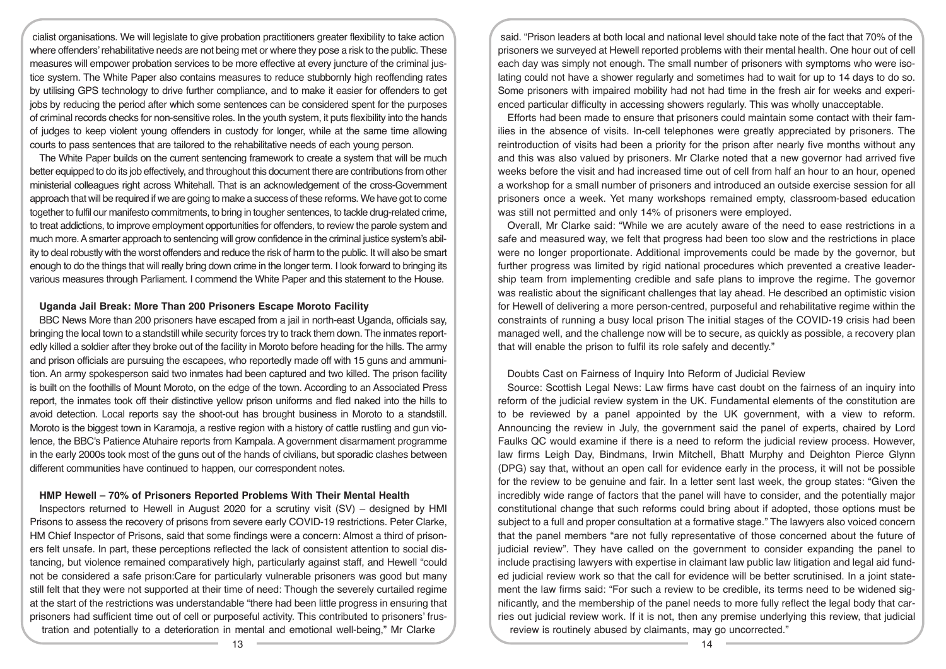cialist organisations. We will legislate to give probation practitioners greater flexibility to take action where offenders' rehabilitative needs are not being met or where they pose a risk to the public. These measures will empower probation services to be more effective at every juncture of the criminal justice system. The White Paper also contains measures to reduce stubbornly high reoffending rates by utilising GPS technology to drive further compliance, and to make it easier for offenders to get jobs by reducing the period after which some sentences can be considered spent for the purposes of criminal records checks for non-sensitive roles. In the youth system, it puts flexibility into the hands of judges to keep violent young offenders in custody for longer, while at the same time allowing courts to pass sentences that are tailored to the rehabilitative needs of each young person.

The White Paper builds on the current sentencing framework to create a system that will be much better equipped to do its job effectively, and throughout this document there are contributions from other ministerial colleagues right across Whitehall. That is an acknowledgement of the cross-Government approach that will be required if we are going to make a success of these reforms. We have got to come together to fulfil our manifesto commitments, to bring in tougher sentences, to tackle drug-related crime, to treat addictions, to improve employment opportunities for offenders, to review the parole system and much more. A smarter approach to sentencing will grow confidence in the criminal justice system's ability to deal robustly with the worst offenders and reduce the risk of harm to the public. It will also be smart enough to do the things that will really bring down crime in the longer term. I look forward to bringing its various measures through Parliament. I commend the White Paper and this statement to the House.

# **Uganda Jail Break: More Than 200 Prisoners Escape Moroto Facility**

BBC News More than 200 prisoners have escaped from a jail in north-east Uganda, officials say, bringing the local town to a standstill while security forces try to track them down. The inmates reportedly killed a soldier after they broke out of the facility in Moroto before heading for the hills. The army and prison officials are pursuing the escapees, who reportedly made off with 15 guns and ammunition. An army spokesperson said two inmates had been captured and two killed. The prison facility is built on the foothills of Mount Moroto, on the edge of the town. According to an Associated Press report, the inmates took off their distinctive yellow prison uniforms and fled naked into the hills to avoid detection. Local reports say the shoot-out has brought business in Moroto to a standstill. Moroto is the biggest town in Karamoja, a restive region with a history of cattle rustling and gun violence, the BBC's Patience Atuhaire reports from Kampala. A government disarmament programme in the early 2000s took most of the guns out of the hands of civilians, but sporadic clashes between different communities have continued to happen, our correspondent notes.

### **HMP Hewell – 70% of Prisoners Reported Problems With Their Mental Health**

Inspectors returned to Hewell in August 2020 for a scrutiny visit (SV) – designed by HMI Prisons to assess the recovery of prisons from severe early COVID-19 restrictions. Peter Clarke, HM Chief Inspector of Prisons, said that some findings were a concern: Almost a third of prisoners felt unsafe. In part, these perceptions reflected the lack of consistent attention to social distancing, but violence remained comparatively high, particularly against staff, and Hewell "could not be considered a safe prison:Care for particularly vulnerable prisoners was good but many still felt that they were not supported at their time of need: Though the severely curtailed regime at the start of the restrictions was understandable "there had been little progress in ensuring that prisoners had sufficient time out of cell or purposeful activity. This contributed to prisoners' frus-

tration and potentially to a deterioration in mental and emotional well-being," Mr Clarke

said. "Prison leaders at both local and national level should take note of the fact that 70% of the prisoners we surveyed at Hewell reported problems with their mental health. One hour out of cell each day was simply not enough. The small number of prisoners with symptoms who were isolating could not have a shower regularly and sometimes had to wait for up to 14 days to do so. Some prisoners with impaired mobility had not had time in the fresh air for weeks and experienced particular difficulty in accessing showers regularly. This was wholly unacceptable.

Efforts had been made to ensure that prisoners could maintain some contact with their families in the absence of visits. In-cell telephones were greatly appreciated by prisoners. The reintroduction of visits had been a priority for the prison after nearly five months without any and this was also valued by prisoners. Mr Clarke noted that a new governor had arrived five weeks before the visit and had increased time out of cell from half an hour to an hour, opened a workshop for a small number of prisoners and introduced an outside exercise session for all prisoners once a week. Yet many workshops remained empty, classroom-based education was still not permitted and only 14% of prisoners were employed.

Overall, Mr Clarke said: "While we are acutely aware of the need to ease restrictions in a safe and measured way, we felt that progress had been too slow and the restrictions in place were no longer proportionate. Additional improvements could be made by the governor, but further progress was limited by rigid national procedures which prevented a creative leadership team from implementing credible and safe plans to improve the regime. The governor was realistic about the significant challenges that lay ahead. He described an optimistic vision for Hewell of delivering a more person-centred, purposeful and rehabilitative regime within the constraints of running a busy local prison The initial stages of the COVID-19 crisis had been managed well, and the challenge now will be to secure, as quickly as possible, a recovery plan that will enable the prison to fulfil its role safely and decently."

# Doubts Cast on Fairness of Inquiry Into Reform of Judicial Review

Source: Scottish Legal News: Law firms have cast doubt on the fairness of an inquiry into reform of the judicial review system in the UK. Fundamental elements of the constitution are to be reviewed by a panel appointed by the UK government, with a view to reform. Announcing the review in July, the government said the panel of experts, chaired by Lord Faulks QC would examine if there is a need to reform the judicial review process. However, law firms Leigh Day, Bindmans, Irwin Mitchell, Bhatt Murphy and Deighton Pierce Glynn (DPG) say that, without an open call for evidence early in the process, it will not be possible for the review to be genuine and fair. In a letter sent last week, the group states: "Given the incredibly wide range of factors that the panel will have to consider, and the potentially major constitutional change that such reforms could bring about if adopted, those options must be subject to a full and proper consultation at a formative stage." The lawyers also voiced concern that the panel members "are not fully representative of those concerned about the future of judicial review". They have called on the government to consider expanding the panel to include practising lawyers with expertise in claimant law public law litigation and legal aid funded judicial review work so that the call for evidence will be better scrutinised. In a joint statement the law firms said: "For such a review to be credible, its terms need to be widened significantly, and the membership of the panel needs to more fully reflect the legal body that carries out judicial review work. If it is not, then any premise underlying this review, that judicial review is routinely abused by claimants, may go uncorrected."